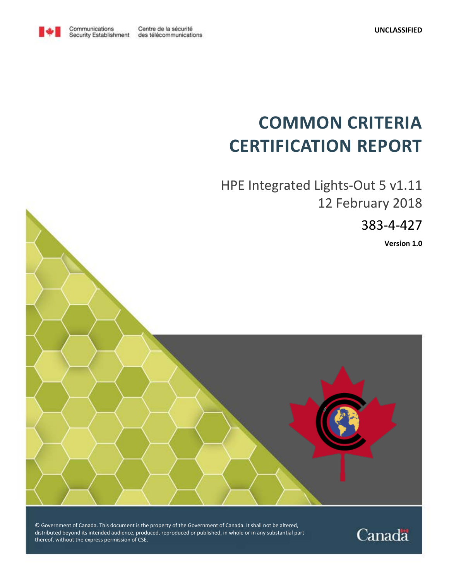

# **COMMON CRITERIA CERTIFICATION REPORT**

HPE Integrated Lights-Out 5 v1.11 12 February 2018

383-4-427

Canada

**Version 1.0**



© Government of Canada. This document is the property of the Government of Canada. It shall not be altered, distributed beyond its intended audience, produced, reproduced or published, in whole or in any substantial part thereof, without the express permission of CSE.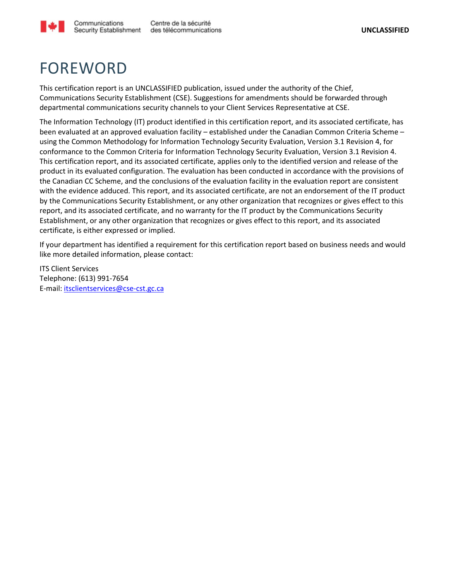

## FOREWORD

This certification report is an UNCLASSIFIED publication, issued under the authority of the Chief, Communications Security Establishment (CSE). Suggestions for amendments should be forwarded through departmental communications security channels to your Client Services Representative at CSE.

The Information Technology (IT) product identified in this certification report, and its associated certificate, has been evaluated at an approved evaluation facility – established under the Canadian Common Criteria Scheme – using the Common Methodology for Information Technology Security Evaluation, Version 3.1 Revision 4, for conformance to the Common Criteria for Information Technology Security Evaluation, Version 3.1 Revision 4. This certification report, and its associated certificate, applies only to the identified version and release of the product in its evaluated configuration. The evaluation has been conducted in accordance with the provisions of the Canadian CC Scheme, and the conclusions of the evaluation facility in the evaluation report are consistent with the evidence adduced. This report, and its associated certificate, are not an endorsement of the IT product by the Communications Security Establishment, or any other organization that recognizes or gives effect to this report, and its associated certificate, and no warranty for the IT product by the Communications Security Establishment, or any other organization that recognizes or gives effect to this report, and its associated certificate, is either expressed or implied.

If your department has identified a requirement for this certification report based on business needs and would like more detailed information, please contact:

ITS Client Services Telephone: (613) 991-7654 E-mail: [itsclientservices@cse-cst.gc.ca](mailto:itsclientservices@cse-cst.gc.ca)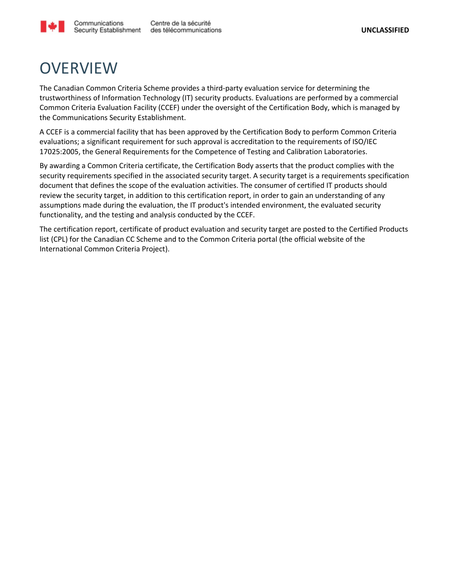

## **OVERVIEW**

The Canadian Common Criteria Scheme provides a third-party evaluation service for determining the trustworthiness of Information Technology (IT) security products. Evaluations are performed by a commercial Common Criteria Evaluation Facility (CCEF) under the oversight of the Certification Body, which is managed by the Communications Security Establishment.

A CCEF is a commercial facility that has been approved by the Certification Body to perform Common Criteria evaluations; a significant requirement for such approval is accreditation to the requirements of ISO/IEC 17025:2005, the General Requirements for the Competence of Testing and Calibration Laboratories.

By awarding a Common Criteria certificate, the Certification Body asserts that the product complies with the security requirements specified in the associated security target. A security target is a requirements specification document that defines the scope of the evaluation activities. The consumer of certified IT products should review the security target, in addition to this certification report, in order to gain an understanding of any assumptions made during the evaluation, the IT product's intended environment, the evaluated security functionality, and the testing and analysis conducted by the CCEF.

The certification report, certificate of product evaluation and security target are posted to the Certified Products list (CPL) for the Canadian CC Scheme and to the Common Criteria portal (the official website of the International Common Criteria Project).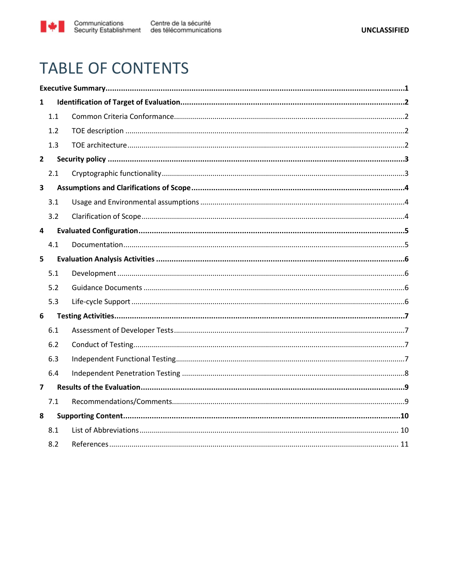

## **TABLE OF CONTENTS**

| 1                       |     |  |  |  |
|-------------------------|-----|--|--|--|
|                         | 1.1 |  |  |  |
|                         | 1.2 |  |  |  |
|                         | 1.3 |  |  |  |
| $\overline{2}$          |     |  |  |  |
|                         | 2.1 |  |  |  |
| $\overline{\mathbf{3}}$ |     |  |  |  |
|                         | 3.1 |  |  |  |
|                         | 3.2 |  |  |  |
| $\overline{\mathbf{4}}$ |     |  |  |  |
|                         | 4.1 |  |  |  |
| 5                       |     |  |  |  |
|                         | 5.1 |  |  |  |
|                         | 5.2 |  |  |  |
|                         | 5.3 |  |  |  |
| 6                       |     |  |  |  |
|                         | 6.1 |  |  |  |
|                         | 6.2 |  |  |  |
|                         | 6.3 |  |  |  |
|                         | 6.4 |  |  |  |
| $\overline{\mathbf{z}}$ |     |  |  |  |
|                         | 7.1 |  |  |  |
| 8                       |     |  |  |  |
|                         | 8.1 |  |  |  |
|                         | 8.2 |  |  |  |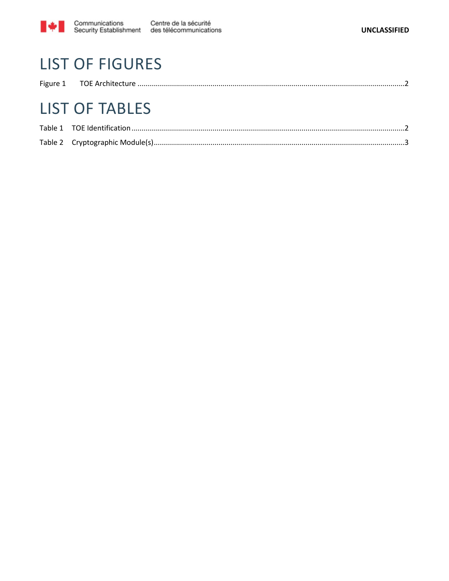

## **LIST OF FIGURES**

| Figure |  |
|--------|--|
|        |  |

## **LIST OF TABLES**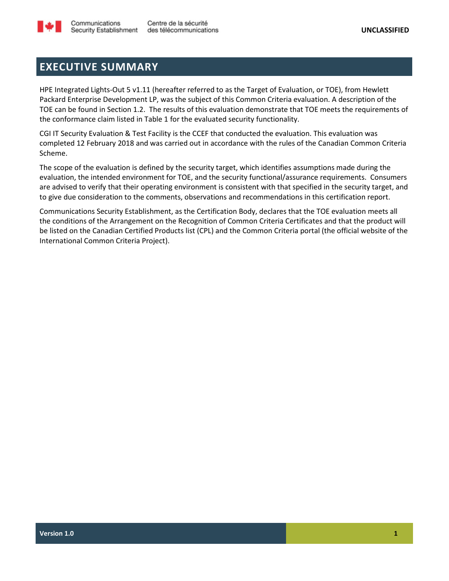

#### **EXECUTIVE SUMMARY**

HPE Integrated Lights-Out 5 v1.11 (hereafter referred to as the Target of Evaluation, or TOE), from Hewlett Packard Enterprise Development LP, was the subject of this Common Criteria evaluation. A description of the TOE can be found in Sectio[n 1.2.](#page-6-0) The results of this evaluation demonstrate that TOE meets the requirements of the conformance claim listed in [Table 1](#page-6-1) for the evaluated security functionality.

CGI IT Security Evaluation & Test Facility is the CCEF that conducted the evaluation. This evaluation was completed 12 February 2018 and was carried out in accordance with the rules of the Canadian Common Criteria Scheme.

The scope of the evaluation is defined by the security target, which identifies assumptions made during the evaluation, the intended environment for TOE, and the security functional/assurance requirements. Consumers are advised to verify that their operating environment is consistent with that specified in the security target, and to give due consideration to the comments, observations and recommendations in this certification report.

Communications Security Establishment, as the Certification Body, declares that the TOE evaluation meets all the conditions of the Arrangement on the Recognition of Common Criteria Certificates and that the product will be listed on the Canadian Certified Products list (CPL) and the Common Criteria portal (the official website of the International Common Criteria Project).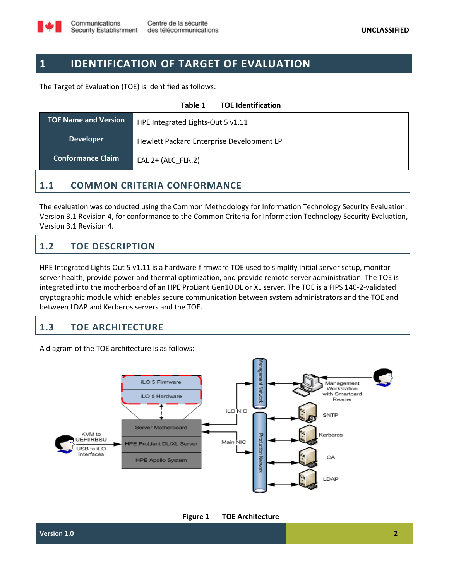

#### **1 IDENTIFICATION OF TARGET OF EVALUATION**

The Target of Evaluation (TOE) is identified as follows:

<span id="page-6-1"></span>

| <b>TOE Name and Version</b><br>HPE Integrated Lights-Out 5 v1.11 |  |
|------------------------------------------------------------------|--|
|                                                                  |  |
| <b>Developer</b><br>Hewlett Packard Enterprise Development LP    |  |
| <b>Conformance Claim</b><br>EAL $2+$ (ALC FLR.2)                 |  |

#### **1.1 COMMON CRITERIA CONFORMANCE**

The evaluation was conducted using the Common Methodology for Information Technology Security Evaluation, Version 3.1 Revision 4, for conformance to the Common Criteria for Information Technology Security Evaluation, Version 3.1 Revision 4.

### <span id="page-6-0"></span>**1.2 TOE DESCRIPTION**

HPE Integrated Lights-Out 5 v1.11 is a hardware-firmware TOE used to simplify initial server setup, monitor server health, provide power and thermal optimization, and provide remote server administration. The TOE is integrated into the motherboard of an HPE ProLiant Gen10 DL or XL server. The TOE is a FIPS 140-2-validated cryptographic module which enables secure communication between system administrators and the TOE and between LDAP and Kerberos servers and the TOE.

#### **1.3 TOE ARCHITECTURE**

A diagram of the TOE architecture is as follows:



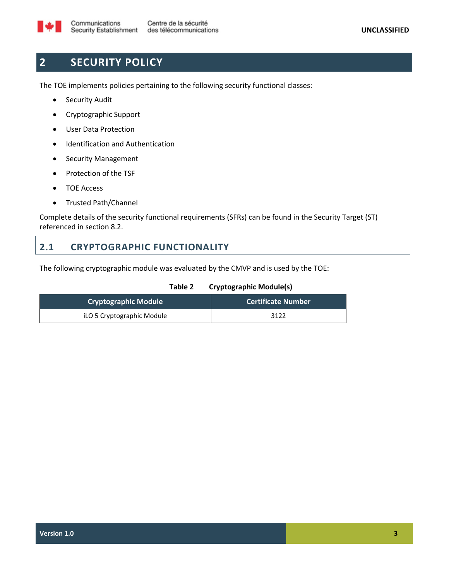

### **2 SECURITY POLICY**

The TOE implements policies pertaining to the following security functional classes:

- Security Audit
- Cryptographic Support
- User Data Protection
- Identification and Authentication
- Security Management
- Protection of the TSF
- TOE Access
- Trusted Path/Channel

Complete details of the security functional requirements (SFRs) can be found in the Security Target (ST) referenced in section 8.2.

#### **2.1 CRYPTOGRAPHIC FUNCTIONALITY**

The following cryptographic module was evaluated by the CMVP and is used by the TOE:

#### **Table 2 Cryptographic Module(s)**

| Cryptographic Module       | <b>Certificate Number</b> |
|----------------------------|---------------------------|
| iLO 5 Cryptographic Module | 3122                      |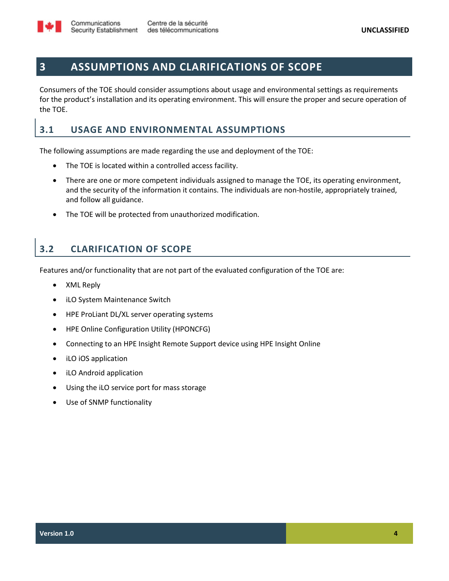

#### **3 ASSUMPTIONS AND CLARIFICATIONS OF SCOPE**

Consumers of the TOE should consider assumptions about usage and environmental settings as requirements for the product's installation and its operating environment. This will ensure the proper and secure operation of the TOE.

#### **3.1 USAGE AND ENVIRONMENTAL ASSUMPTIONS**

The following assumptions are made regarding the use and deployment of the TOE:

- The TOE is located within a controlled access facility.
- There are one or more competent individuals assigned to manage the TOE, its operating environment, and the security of the information it contains. The individuals are non-hostile, appropriately trained, and follow all guidance.
- The TOE will be protected from unauthorized modification.

## **3.2 CLARIFICATION OF SCOPE**

Features and/or functionality that are not part of the evaluated configuration of the TOE are:

- XML Reply
- iLO System Maintenance Switch
- HPE ProLiant DL/XL server operating systems
- HPE Online Configuration Utility (HPONCFG)
- Connecting to an HPE Insight Remote Support device using HPE Insight Online
- iLO iOS application
- iLO Android application
- Using the iLO service port for mass storage
- Use of SNMP functionality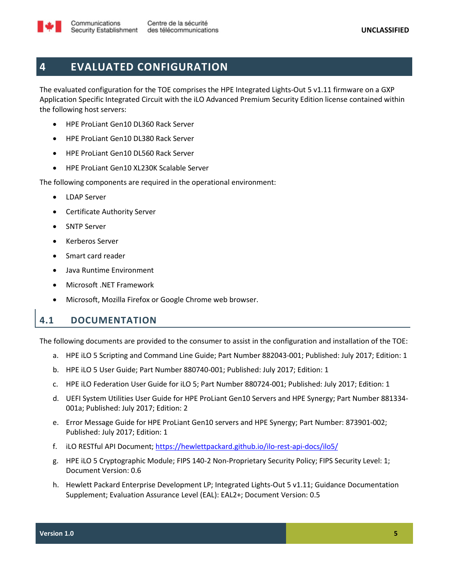

### **4 EVALUATED CONFIGURATION**

The evaluated configuration for the TOE comprises the HPE Integrated Lights-Out 5 v1.11 firmware on a GXP Application Specific Integrated Circuit with the iLO Advanced Premium Security Edition license contained within the following host servers:

- HPE ProLiant Gen10 DL360 Rack Server
- HPE ProLiant Gen10 DL380 Rack Server
- HPE ProLiant Gen10 DL560 Rack Server
- HPE ProLiant Gen10 XL230K Scalable Server

The following components are required in the operational environment:

- LDAP Server
- Certificate Authority Server
- **SNTP Server**
- Kerberos Server
- Smart card reader
- Java Runtime Environment
- Microsoft .NET Framework
- Microsoft, Mozilla Firefox or Google Chrome web browser.

#### <span id="page-9-0"></span>**4.1 DOCUMENTATION**

The following documents are provided to the consumer to assist in the configuration and installation of the TOE:

- a. HPE iLO 5 Scripting and Command Line Guide; Part Number 882043-001; Published: July 2017; Edition: 1
- b. HPE iLO 5 User Guide; Part Number 880740-001; Published: July 2017; Edition: 1
- c. HPE iLO Federation User Guide for iLO 5; Part Number 880724-001; Published: July 2017; Edition: 1
- d. UEFI System Utilities User Guide for HPE ProLiant Gen10 Servers and HPE Synergy; Part Number 881334- 001a; Published: July 2017; Edition: 2
- e. Error Message Guide for HPE ProLiant Gen10 servers and HPE Synergy; Part Number: 873901-002; Published: July 2017; Edition: 1
- f. iLO RESTful API Document;<https://hewlettpackard.github.io/ilo-rest-api-docs/ilo5/>
- g. HPE iLO 5 Cryptographic Module; FIPS 140-2 Non-Proprietary Security Policy; FIPS Security Level: 1; Document Version: 0.6
- h. Hewlett Packard Enterprise Development LP; Integrated Lights-Out 5 v1.11; Guidance Documentation Supplement; Evaluation Assurance Level (EAL): EAL2+; Document Version: 0.5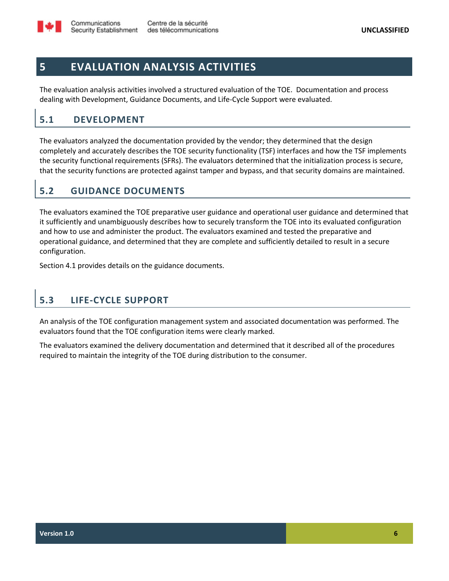

#### **5 EVALUATION ANALYSIS ACTIVITIES**

The evaluation analysis activities involved a structured evaluation of the TOE. Documentation and process dealing with Development, Guidance Documents, and Life-Cycle Support were evaluated.

### **5.1 DEVELOPMENT**

The evaluators analyzed the documentation provided by the vendor; they determined that the design completely and accurately describes the TOE security functionality (TSF) interfaces and how the TSF implements the security functional requirements (SFRs). The evaluators determined that the initialization process is secure, that the security functions are protected against tamper and bypass, and that security domains are maintained.

#### **5.2 GUIDANCE DOCUMENTS**

The evaluators examined the TOE preparative user guidance and operational user guidance and determined that it sufficiently and unambiguously describes how to securely transform the TOE into its evaluated configuration and how to use and administer the product. The evaluators examined and tested the preparative and operational guidance, and determined that they are complete and sufficiently detailed to result in a secure configuration.

Sectio[n 4.1](#page-9-0) provides details on the guidance documents.

### **5.3 LIFE-CYCLE SUPPORT**

An analysis of the TOE configuration management system and associated documentation was performed. The evaluators found that the TOE configuration items were clearly marked.

The evaluators examined the delivery documentation and determined that it described all of the procedures required to maintain the integrity of the TOE during distribution to the consumer.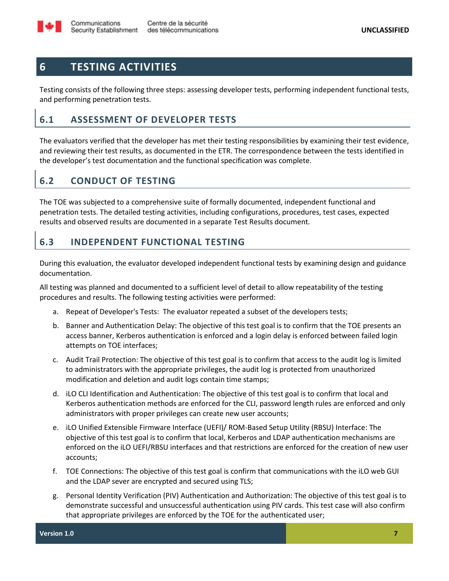

### **6 TESTING ACTIVITIES**

Testing consists of the following three steps: assessing developer tests, performing independent functional tests, and performing penetration tests.

#### **6.1 ASSESSMENT OF DEVELOPER TESTS**

The evaluators verified that the developer has met their testing responsibilities by examining their test evidence, and reviewing their test results, as documented in the ETR. The correspondence between the tests identified in the developer's test documentation and the functional specification was complete.

### **6.2 CONDUCT OF TESTING**

The TOE was subjected to a comprehensive suite of formally documented, independent functional and penetration tests. The detailed testing activities, including configurations, procedures, test cases, expected results and observed results are documented in a separate Test Results document.

#### **6.3 INDEPENDENT FUNCTIONAL TESTING**

During this evaluation, the evaluator developed independent functional tests by examining design and guidance documentation.

All testing was planned and documented to a sufficient level of detail to allow repeatability of the testing procedures and results. The following testing activities were performed:

- a. Repeat of Developer's Tests: The evaluator repeated a subset of the developers tests;
- b. Banner and Authentication Delay: The objective of this test goal is to confirm that the TOE presents an access banner, Kerberos authentication is enforced and a login delay is enforced between failed login attempts on TOE interfaces;
- c. Audit Trail Protection: The objective of this test goal is to confirm that access to the audit log is limited to administrators with the appropriate privileges, the audit log is protected from unauthorized modification and deletion and audit logs contain time stamps;
- d. iLO CLI Identification and Authentication: The objective of this test goal is to confirm that local and Kerberos authentication methods are enforced for the CLI, password length rules are enforced and only administrators with proper privileges can create new user accounts;
- e. iLO Unified Extensible Firmware Interface (UEFI)/ ROM-Based Setup Utility (RBSU) Interface: The objective of this test goal is to confirm that local, Kerberos and LDAP authentication mechanisms are enforced on the iLO UEFI/RBSU interfaces and that restrictions are enforced for the creation of new user accounts;
- f. TOE Connections: The objective of this test goal is confirm that communications with the iLO web GUI and the LDAP sever are encrypted and secured using TLS;
- g. Personal Identity Verification (PIV) Authentication and Authorization: The objective of this test goal is to demonstrate successful and unsuccessful authentication using PIV cards. This test case will also confirm that appropriate privileges are enforced by the TOE for the authenticated user;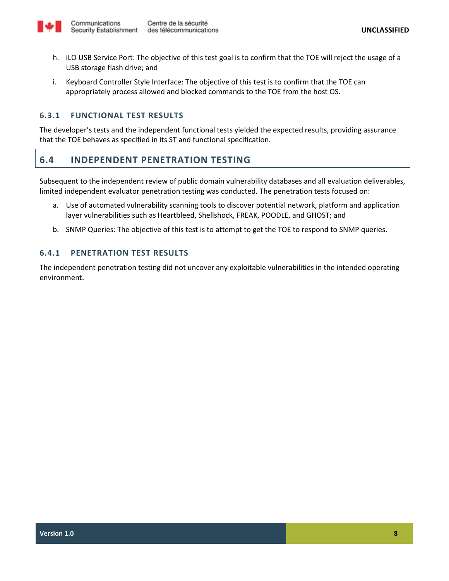

- h. iLO USB Service Port: The objective of this test goal is to confirm that the TOE will reject the usage of a USB storage flash drive; and
- i. Keyboard Controller Style Interface: The objective of this test is to confirm that the TOE can appropriately process allowed and blocked commands to the TOE from the host OS.

#### **6.3.1 FUNCTIONAL TEST RESULTS**

The developer's tests and the independent functional tests yielded the expected results, providing assurance that the TOE behaves as specified in its ST and functional specification.

#### **6.4 INDEPENDENT PENETRATION TESTING**

Subsequent to the independent review of public domain vulnerability databases and all evaluation deliverables, limited independent evaluator penetration testing was conducted. The penetration tests focused on:

- a. Use of automated vulnerability scanning tools to discover potential network, platform and application layer vulnerabilities such as Heartbleed, Shellshock, FREAK, POODLE, and GHOST; and
- b. SNMP Queries: The objective of this test is to attempt to get the TOE to respond to SNMP queries.

#### **6.4.1 PENETRATION TEST RESULTS**

The independent penetration testing did not uncover any exploitable vulnerabilities in the intended operating environment.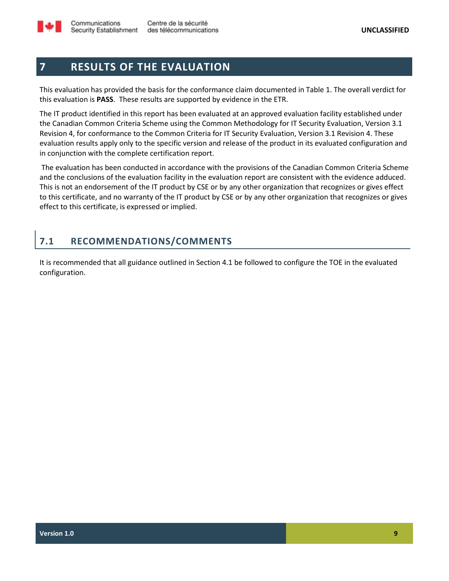

#### **7 RESULTS OF THE EVALUATION**

This evaluation has provided the basis for the conformance claim documented i[n Table 1.](#page-6-1) The overall verdict for this evaluation is **PASS**. These results are supported by evidence in the ETR.

The IT product identified in this report has been evaluated at an approved evaluation facility established under the Canadian Common Criteria Scheme using the Common Methodology for IT Security Evaluation, Version 3.1 Revision 4, for conformance to the Common Criteria for IT Security Evaluation, Version 3.1 Revision 4. These evaluation results apply only to the specific version and release of the product in its evaluated configuration and in conjunction with the complete certification report.

The evaluation has been conducted in accordance with the provisions of the Canadian Common Criteria Scheme and the conclusions of the evaluation facility in the evaluation report are consistent with the evidence adduced. This is not an endorsement of the IT product by CSE or by any other organization that recognizes or gives effect to this certificate, and no warranty of the IT product by CSE or by any other organization that recognizes or gives effect to this certificate, is expressed or implied.

### **7.1 RECOMMENDATIONS/COMMENTS**

It is recommended that all guidance outlined in Section 4.1 be followed to configure the TOE in the evaluated configuration.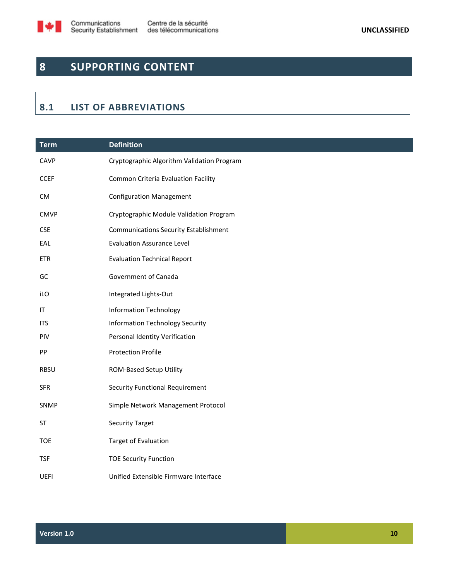

## **8 SUPPORTING CONTENT**

#### **8.1 LIST OF ABBREVIATIONS**

| <b>Term</b> | <b>Definition</b>                            |
|-------------|----------------------------------------------|
| CAVP        | Cryptographic Algorithm Validation Program   |
| <b>CCEF</b> | Common Criteria Evaluation Facility          |
| <b>CM</b>   | <b>Configuration Management</b>              |
| <b>CMVP</b> | Cryptographic Module Validation Program      |
| <b>CSE</b>  | <b>Communications Security Establishment</b> |
| EAL         | <b>Evaluation Assurance Level</b>            |
| ETR         | <b>Evaluation Technical Report</b>           |
| GC          | Government of Canada                         |
| iLO         | Integrated Lights-Out                        |
| IT          | <b>Information Technology</b>                |
| <b>ITS</b>  | <b>Information Technology Security</b>       |
| PIV         | Personal Identity Verification               |
| PP          | <b>Protection Profile</b>                    |
| RBSU        | ROM-Based Setup Utility                      |
| <b>SFR</b>  | <b>Security Functional Requirement</b>       |
| <b>SNMP</b> | Simple Network Management Protocol           |
| <b>ST</b>   | <b>Security Target</b>                       |
| TOE         | Target of Evaluation                         |
| <b>TSF</b>  | <b>TOE Security Function</b>                 |
| <b>UEFI</b> | Unified Extensible Firmware Interface        |